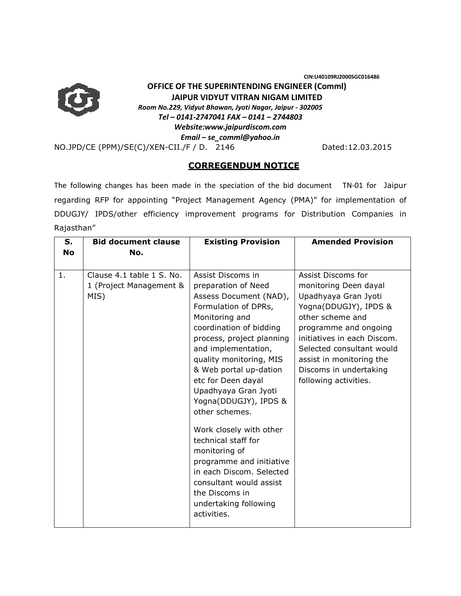**CIN:U40109RJ2000SGC016486** 



## **OFFICE OF THE SUPERINTENDING ENGINEER (Comml) JAIPUR VIDYUT VITRAN NIGAM LIMITED**

*Room No.229, Vidyut Bhawan, Jyoti Nagar, Jaipur - 302005* 

*Tel – 0141-2747041 FAX – 0141 – 2744803* 

*Website:www.jaipurdiscom.com* 

*Email – se\_comml@yahoo.in*

NO.JPD/CE (PPM)/SE(C)/XEN-CII./F / D. 2146 Dated:12.03.2015

## **CORREGENDUM NOTICE**

The following changes has been made in the speciation of the bid document TN-01 for Jaipur regarding RFP for appointing "Project Management Agency (PMA)" for implementation of DDUGJY/ IPDS/other efficiency improvement programs for Distribution Companies in Rajasthan"

| $S_{1}$<br><b>No</b> | <b>Bid document clause</b><br>No.                            | <b>Existing Provision</b>                                                                                                                                                                                                                                                                                                                                                                                                                                                                                                                                 | <b>Amended Provision</b>                                                                                                                                                                                                                                                             |
|----------------------|--------------------------------------------------------------|-----------------------------------------------------------------------------------------------------------------------------------------------------------------------------------------------------------------------------------------------------------------------------------------------------------------------------------------------------------------------------------------------------------------------------------------------------------------------------------------------------------------------------------------------------------|--------------------------------------------------------------------------------------------------------------------------------------------------------------------------------------------------------------------------------------------------------------------------------------|
| 1.                   | Clause 4.1 table 1 S. No.<br>1 (Project Management &<br>MIS) | Assist Discoms in<br>preparation of Need<br>Assess Document (NAD),<br>Formulation of DPRs,<br>Monitoring and<br>coordination of bidding<br>process, project planning<br>and implementation,<br>quality monitoring, MIS<br>& Web portal up-dation<br>etc for Deen dayal<br>Upadhyaya Gran Jyoti<br>Yogna(DDUGJY), IPDS &<br>other schemes.<br>Work closely with other<br>technical staff for<br>monitoring of<br>programme and initiative<br>in each Discom. Selected<br>consultant would assist<br>the Discoms in<br>undertaking following<br>activities. | Assist Discoms for<br>monitoring Deen dayal<br>Upadhyaya Gran Jyoti<br>Yogna(DDUGJY), IPDS &<br>other scheme and<br>programme and ongoing<br>initiatives in each Discom.<br>Selected consultant would<br>assist in monitoring the<br>Discoms in undertaking<br>following activities. |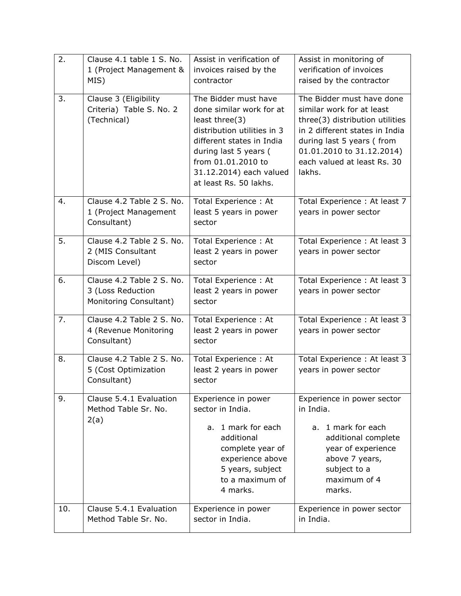| 2.  | Clause 4.1 table 1 S. No. | Assist in verification of   | Assist in monitoring of         |
|-----|---------------------------|-----------------------------|---------------------------------|
|     | 1 (Project Management &   | invoices raised by the      | verification of invoices        |
|     | MIS)                      | contractor                  | raised by the contractor        |
| 3.  | Clause 3 (Eligibility     | The Bidder must have        | The Bidder must have done       |
|     | Criteria) Table S. No. 2  | done similar work for at    | similar work for at least       |
|     | (Technical)               | least three(3)              | three(3) distribution utilities |
|     |                           | distribution utilities in 3 | in 2 different states in India  |
|     |                           | different states in India   | during last 5 years (from       |
|     |                           | during last 5 years (       | 01.01.2010 to 31.12.2014)       |
|     |                           | from 01.01.2010 to          | each valued at least Rs. 30     |
|     |                           | 31.12.2014) each valued     | lakhs.                          |
|     |                           | at least Rs. 50 lakhs.      |                                 |
|     |                           |                             |                                 |
| 4.  | Clause 4.2 Table 2 S. No. | Total Experience: At        | Total Experience : At least 7   |
|     | 1 (Project Management     | least 5 years in power      | years in power sector           |
|     | Consultant)               | sector                      |                                 |
| 5.  | Clause 4.2 Table 2 S. No. | Total Experience: At        | Total Experience : At least 3   |
|     | 2 (MIS Consultant         | least 2 years in power      | years in power sector           |
|     | Discom Level)             | sector                      |                                 |
| 6.  | Clause 4.2 Table 2 S. No. | Total Experience: At        | Total Experience: At least 3    |
|     | 3 (Loss Reduction         | least 2 years in power      | years in power sector           |
|     | Monitoring Consultant)    | sector                      |                                 |
|     |                           |                             |                                 |
| 7.  | Clause 4.2 Table 2 S. No. | Total Experience: At        | Total Experience: At least 3    |
|     | 4 (Revenue Monitoring     | least 2 years in power      | years in power sector           |
|     | Consultant)               | sector                      |                                 |
| 8.  | Clause 4.2 Table 2 S. No. | Total Experience: At        | Total Experience: At least 3    |
|     | 5 (Cost Optimization      | least 2 years in power      | years in power sector           |
|     | Consultant)               | sector                      |                                 |
| 9.  | Clause 5.4.1 Evaluation   | Experience in power         | Experience in power sector      |
|     | Method Table Sr. No.      | sector in India.            | in India.                       |
|     | 2(a)                      |                             |                                 |
|     |                           | 1 mark for each<br>a.       | 1 mark for each<br>a.           |
|     |                           | additional                  | additional complete             |
|     |                           | complete year of            | year of experience              |
|     |                           | experience above            | above 7 years,                  |
|     |                           | 5 years, subject            | subject to a                    |
|     |                           | to a maximum of             | maximum of 4                    |
|     |                           | 4 marks.                    | marks.                          |
| 10. | Clause 5.4.1 Evaluation   | Experience in power         | Experience in power sector      |
|     | Method Table Sr. No.      | sector in India.            | in India.                       |
|     |                           |                             |                                 |